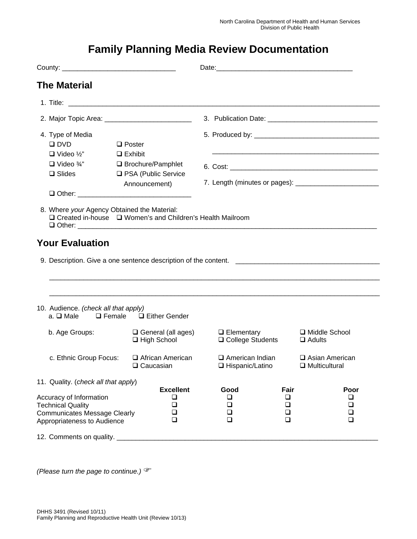## **Family Planning Media Review Documentation**

| <b>The Material</b>                                                                                                                                                                                          |                                                 |                                             |                                    |                                          |  |
|--------------------------------------------------------------------------------------------------------------------------------------------------------------------------------------------------------------|-------------------------------------------------|---------------------------------------------|------------------------------------|------------------------------------------|--|
|                                                                                                                                                                                                              |                                                 |                                             |                                    |                                          |  |
| 2. Major Topic Area: ____________________________                                                                                                                                                            |                                                 |                                             |                                    |                                          |  |
| 4. Type of Media<br>$\square$ DVD<br>$\Box$ Poster<br>$\Box$ Video ½"<br>$\Box$ Exhibit<br>$\Box$ Video $\frac{3}{4}$ "<br>□ Brochure/Pamphlet<br>□ PSA (Public Service<br>$\square$ Slides<br>Announcement) |                                                 |                                             |                                    |                                          |  |
| 8. Where your Agency Obtained the Material:<br>□ Created in-house □ Women's and Children's Health Mailroom                                                                                                   |                                                 |                                             |                                    |                                          |  |
| 10. Audience. (check all that apply)                                                                                                                                                                         |                                                 |                                             |                                    |                                          |  |
| a. $\square$ Male                                                                                                                                                                                            | $\Box$ Female $\Box$ Either Gender              |                                             |                                    |                                          |  |
| b. Age Groups:                                                                                                                                                                                               | $\Box$ General (all ages)<br>$\Box$ High School | $\Box$ Elementary<br>□ College Students     |                                    | □ Middle School<br>$\Box$ Adults         |  |
| c. Ethnic Group Focus:                                                                                                                                                                                       | □ African American<br>$\Box$ Caucasian          | $\Box$ American Indian<br>□ Hispanic/Latino |                                    | □ Asian American<br>$\Box$ Multicultural |  |
| 11. Quality. (check all that apply)                                                                                                                                                                          |                                                 |                                             |                                    |                                          |  |
| <b>Excellent</b><br>Accuracy of Information<br>❏<br><b>Technical Quality</b><br>$\Box$<br>❏<br><b>Communicates Message Clearly</b><br>□<br>Appropriateness to Audience                                       |                                                 | Good<br>$\Box$<br>$\Box$<br>❏<br>$\Box$     | Fair<br>⊔<br>$\Box$<br>$\Box$<br>❏ | Poor<br>❏<br>❏<br>□<br>$\Box$            |  |
| 12. Comments on quality.                                                                                                                                                                                     |                                                 |                                             |                                    |                                          |  |

*(Please turn the page to continue.)*